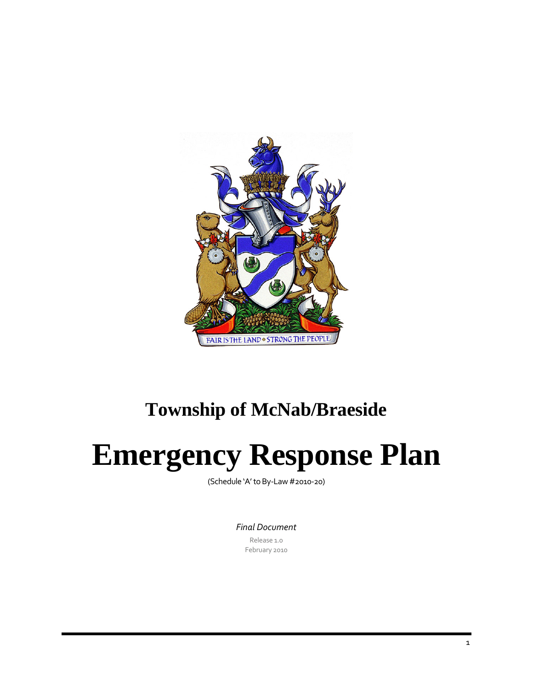

## **Township of McNab/Braeside**

# **Emergency Response Plan**

(Schedule 'A'toBy‐Law #2010‐20)

*Final Document*

Release 1.0 February 2010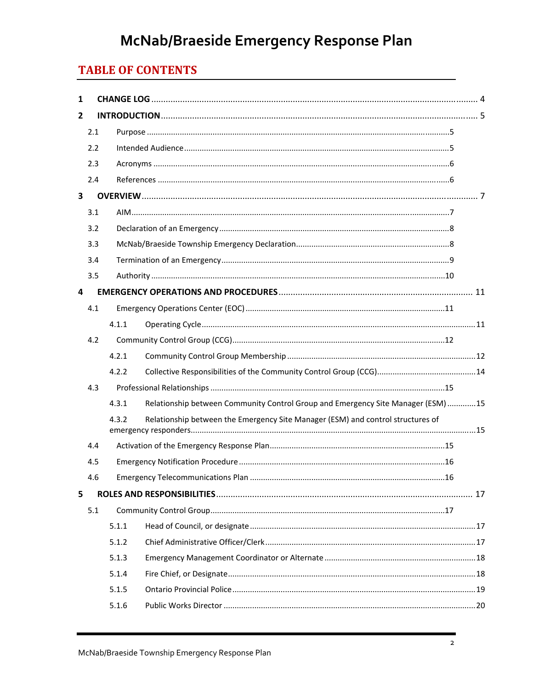### **TABLE OF CONTENTS**

| 1              |     |       |                                                                                  |  |
|----------------|-----|-------|----------------------------------------------------------------------------------|--|
| $\overline{2}$ |     |       |                                                                                  |  |
|                | 2.1 |       |                                                                                  |  |
|                | 2.2 |       |                                                                                  |  |
|                | 2.3 |       |                                                                                  |  |
|                | 2.4 |       |                                                                                  |  |
| 3              |     |       |                                                                                  |  |
|                | 3.1 |       |                                                                                  |  |
|                | 3.2 |       |                                                                                  |  |
|                | 3.3 |       |                                                                                  |  |
|                | 3.4 |       |                                                                                  |  |
|                | 3.5 |       |                                                                                  |  |
| 4              |     |       |                                                                                  |  |
|                | 4.1 |       |                                                                                  |  |
|                |     | 4.1.1 |                                                                                  |  |
|                | 4.2 |       |                                                                                  |  |
|                |     | 4.2.1 |                                                                                  |  |
|                |     | 4.2.2 |                                                                                  |  |
|                | 4.3 |       |                                                                                  |  |
|                |     | 4.3.1 | Relationship between Community Control Group and Emergency Site Manager (ESM) 15 |  |
|                |     | 4.3.2 | Relationship between the Emergency Site Manager (ESM) and control structures of  |  |
|                | 4.4 |       |                                                                                  |  |
|                | 4.5 |       |                                                                                  |  |
|                | 46  |       | .16                                                                              |  |
| 5              |     |       |                                                                                  |  |
|                | 5.1 |       |                                                                                  |  |
|                |     | 5.1.1 |                                                                                  |  |
|                |     | 5.1.2 |                                                                                  |  |
|                |     | 5.1.3 |                                                                                  |  |
|                |     | 5.1.4 |                                                                                  |  |
|                |     | 5.1.5 |                                                                                  |  |
|                |     | 5.1.6 |                                                                                  |  |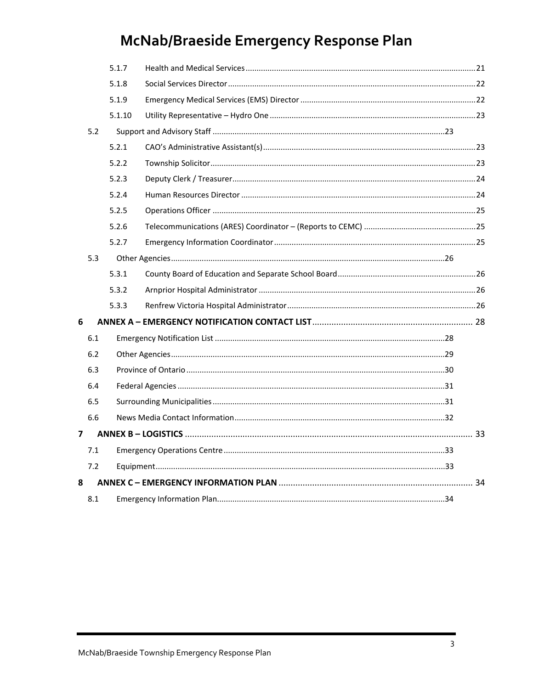|   |     | 5.1.7  |  |  |
|---|-----|--------|--|--|
|   |     | 5.1.8  |  |  |
|   |     | 5.1.9  |  |  |
|   |     | 5.1.10 |  |  |
|   | 5.2 |        |  |  |
|   |     | 5.2.1  |  |  |
|   |     | 5.2.2  |  |  |
|   |     | 5.2.3  |  |  |
|   |     | 5.2.4  |  |  |
|   |     | 5.2.5  |  |  |
|   |     | 5.2.6  |  |  |
|   |     | 5.2.7  |  |  |
|   | 5.3 |        |  |  |
|   |     | 5.3.1  |  |  |
|   |     | 5.3.2  |  |  |
|   |     | 5.3.3  |  |  |
| 6 |     |        |  |  |
|   | 6.1 |        |  |  |
|   | 6.2 |        |  |  |
|   | 6.3 |        |  |  |
|   | 6.4 |        |  |  |
|   | 6.5 |        |  |  |
|   | 6.6 |        |  |  |
| 7 |     |        |  |  |
|   | 7.1 |        |  |  |
|   | 7.2 |        |  |  |
| 8 |     |        |  |  |
|   | 8.1 |        |  |  |
|   |     |        |  |  |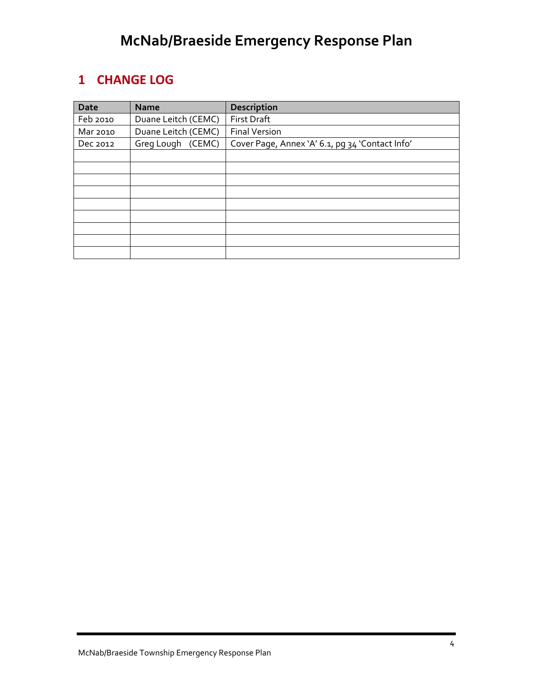### **1 CHANGE LOG**

| Date     | <b>Name</b>         | <b>Description</b>                              |
|----------|---------------------|-------------------------------------------------|
| Feb 2010 | Duane Leitch (CEMC) | <b>First Draft</b>                              |
| Mar 2010 | Duane Leitch (CEMC) | <b>Final Version</b>                            |
| Dec 2012 | Greg Lough (CEMC)   | Cover Page, Annex 'A' 6.1, pg 34 'Contact Info' |
|          |                     |                                                 |
|          |                     |                                                 |
|          |                     |                                                 |
|          |                     |                                                 |
|          |                     |                                                 |
|          |                     |                                                 |
|          |                     |                                                 |
|          |                     |                                                 |
|          |                     |                                                 |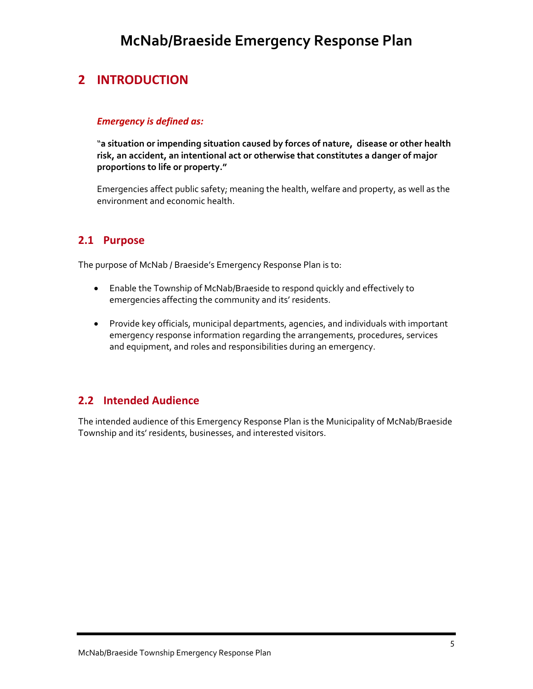### **2 INTRODUCTION**

#### *Emergency is defined as:*

"**a situation or impending situation caused by forces of nature, disease or other health risk, an accident, an intentional act or otherwise that constitutes a danger of major proportions to life or property."**

Emergencies affect public safety; meaning the health, welfare and property, as well as the environment and economic health.

### **2.1 Purpose**

The purpose of McNab / Braeside's Emergency Response Plan is to:

- Enable the Township of McNab/Braeside to respond quickly and effectively to emergencies affecting the community and its' residents.
- Provide key officials, municipal departments, agencies, and individuals with important emergency response information regarding the arrangements, procedures, services and equipment, and roles and responsibilities during an emergency.

### **2.2 Intended Audience**

The intended audience of this Emergency Response Plan is the Municipality of McNab/Braeside Township and its' residents, businesses, and interested visitors.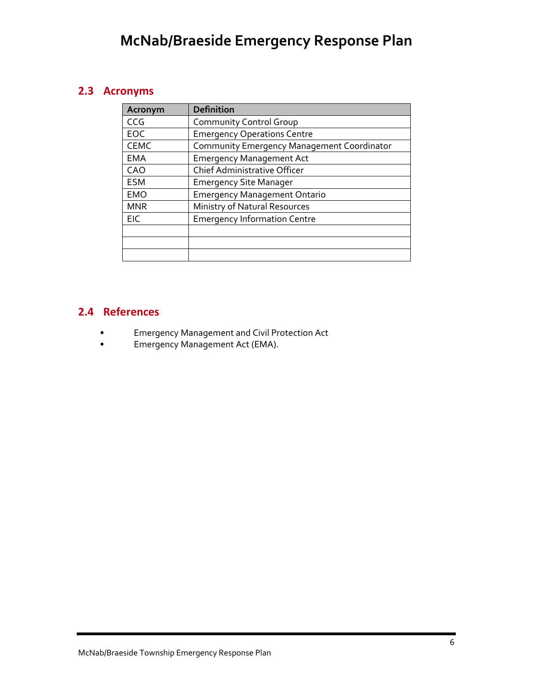### **2.3 Acronyms**

| Acronym     | <b>Definition</b>                          |
|-------------|--------------------------------------------|
| CCG         | <b>Community Control Group</b>             |
| EOC         | <b>Emergency Operations Centre</b>         |
| <b>CEMC</b> | Community Emergency Management Coordinator |
| <b>EMA</b>  | <b>Emergency Management Act</b>            |
| CAO         | Chief Administrative Officer               |
| <b>ESM</b>  | <b>Emergency Site Manager</b>              |
| <b>EMO</b>  | <b>Emergency Management Ontario</b>        |
| <b>MNR</b>  | Ministry of Natural Resources              |
| <b>EIC</b>  | <b>Emergency Information Centre</b>        |
|             |                                            |
|             |                                            |
|             |                                            |

### **2.4 References**

- Emergency Management and Civil Protection Act
- Emergency Management Act (EMA).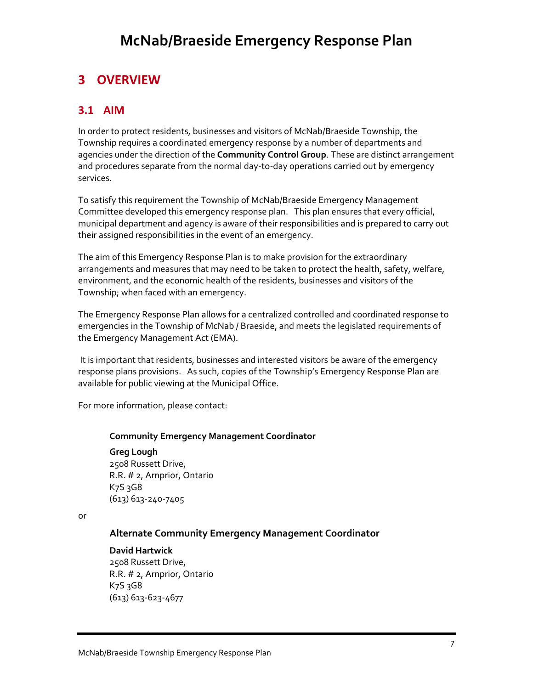### **3 OVERVIEW**

### **3.1 AIM**

In order to protect residents, businesses and visitors of McNab/Braeside Township, the Township requires a coordinated emergency response by a number of departments and agencies under the direction of the **Community Control Group**. These are distinct arrangement and procedures separate from the normal day‐to‐day operations carried out by emergency services.

To satisfy this requirement the Township of McNab/Braeside Emergency Management Committee developed this emergency response plan. This plan ensures that every official, municipal department and agency is aware of their responsibilities and is prepared to carry out their assigned responsibilities in the event of an emergency.

The aim of this Emergency Response Plan is to make provision for the extraordinary arrangements and measures that may need to be taken to protect the health, safety, welfare, environment, and the economic health of the residents, businesses and visitors of the Township; when faced with an emergency.

The Emergency Response Plan allows for a centralized controlled and coordinated response to emergencies in the Township of McNab / Braeside, and meets the legislated requirements of the Emergency Management Act (EMA).

It is important that residents, businesses and interested visitors be aware of the emergency response plans provisions. As such, copies of the Township's Emergency Response Plan are available for public viewing at the Municipal Office.

For more information, please contact:

#### **Community Emergency Management Coordinator**

**Greg Lough** 2508 Russett Drive, R.R. # 2, Arnprior, Ontario  $K<sub>7</sub>S<sub>3</sub>G<sub>8</sub>$ (613) 613‐240‐7405

or

#### **Alternate Community Emergency Management Coordinator**

#### **David Hartwick**

2508 Russett Drive, R.R. # 2, Arnprior, Ontario  $K<sub>7</sub>S<sub>3</sub>G<sub>8</sub>$ (613) 613‐623‐4677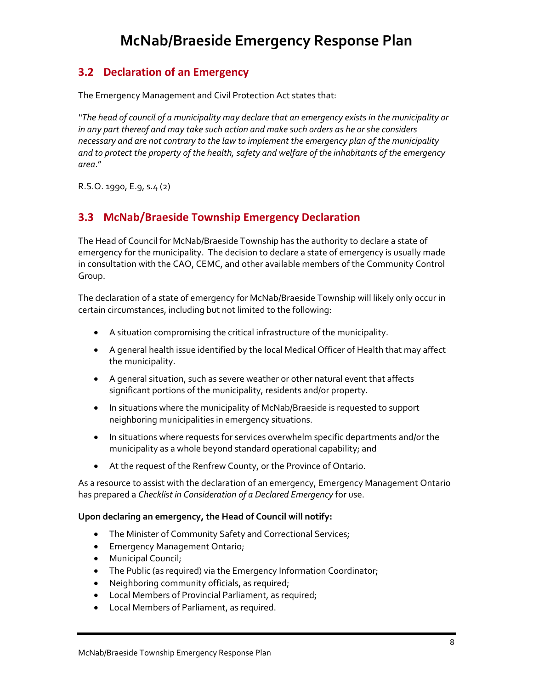### **3.2 Declaration of an Emergency**

The Emergency Management and Civil Protection Act states that:

*"The head of council of a municipality may declare that an emergency exists in the municipality or in any part thereof and may take such action and make such orders as he or she considers necessary and are not contrary to the law to implement the emergency plan of the municipality and to protect the property of the health, safety and welfare of the inhabitants of the emergency area*."

R.S.O. 1990, E.9, s.4 (2)

### **3.3 McNab/Braeside Township Emergency Declaration**

The Head of Council for McNab/Braeside Township has the authority to declare a state of emergency for the municipality. The decision to declare a state of emergency is usually made in consultation with the CAO, CEMC, and other available members of the Community Control Group.

The declaration of a state of emergency for McNab/Braeside Township will likely only occur in certain circumstances, including but not limited to the following:

- A situation compromising the critical infrastructure of the municipality.
- A general health issue identified by the local Medical Officer of Health that may affect the municipality.
- A general situation, such as severe weather or other natural event that affects significant portions of the municipality, residents and/or property.
- In situations where the municipality of McNab/Braeside is requested to support neighboring municipalities in emergency situations.
- In situations where requests for services overwhelm specific departments and/or the municipality as a whole beyond standard operational capability; and
- At the request of the Renfrew County, or the Province of Ontario.

As a resource to assist with the declaration of an emergency, Emergency Management Ontario has prepared a *Checklist in Consideration of a Declared Emergency* for use.

#### **Upon declaring an emergency, the Head of Council will notify:**

- The Minister of Community Safety and Correctional Services;
- Emergency Management Ontario;
- Municipal Council;
- The Public (as required) via the Emergency Information Coordinator;
- Neighboring community officials, as required;
- Local Members of Provincial Parliament, as required;
- Local Members of Parliament, as required.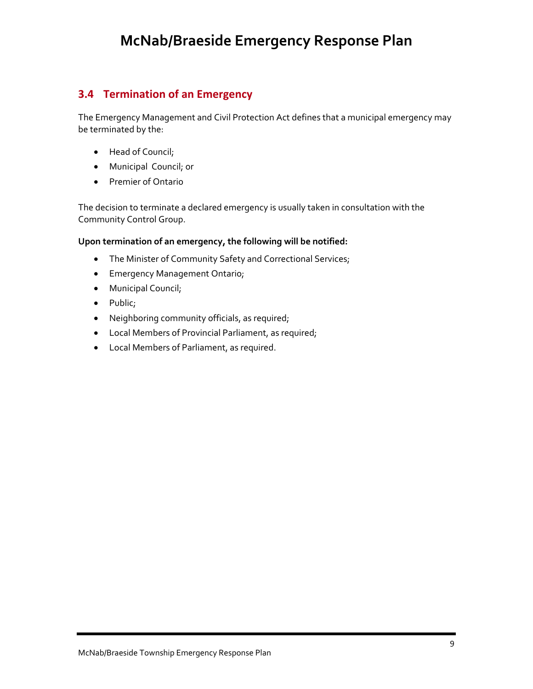### **3.4 Termination of an Emergency**

The Emergency Management and Civil Protection Act defines that a municipal emergency may be terminated by the:

- Head of Council;
- Municipal Council; or
- Premier of Ontario

The decision to terminate a declared emergency is usually taken in consultation with the Community Control Group.

#### **Upon termination of an emergency, the following will be notified:**

- The Minister of Community Safety and Correctional Services;
- Emergency Management Ontario;
- Municipal Council;
- Public;
- Neighboring community officials, as required;
- Local Members of Provincial Parliament, as required;
- Local Members of Parliament, as required.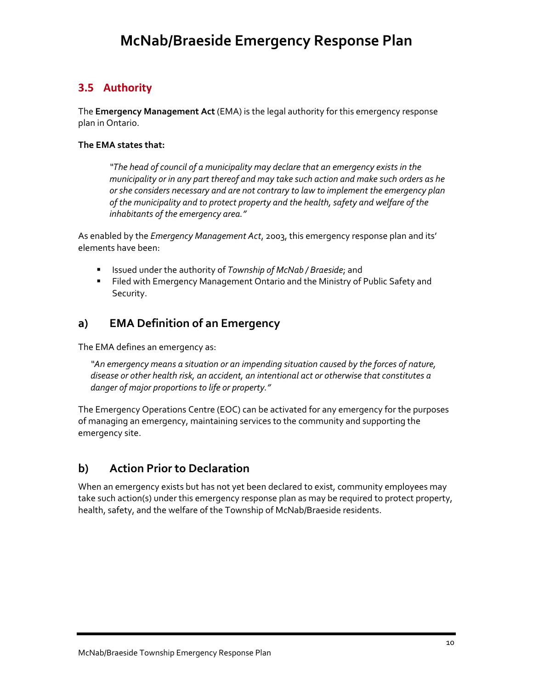### **3.5 Authority**

The **Emergency Management Act** (EMA) is the legal authority for this emergency response plan in Ontario.

#### **The EMA states that:**

*"The head of council of a municipality may declare that an emergency exists in the municipality or in any part thereof and may take such action and make such orders as he or she considers necessary and are not contrary to law to implement the emergency plan of the municipality and to protect property and the health, safety and welfare of the inhabitants of the emergency area."* 

As enabled by the *Emergency Management Act*, 2003, this emergency response plan and its' elements have been:

- Issued under the authority of *Township of McNab / Braeside*; and
- **Filed with Emergency Management Ontario and the Ministry of Public Safety and** Security.

### **a) EMA Definition of an Emergency**

The EMA defines an emergency as:

*"An emergency means a situation or an impending situation caused by the forces of nature, disease or other health risk, an accident, an intentional act or otherwise that constitutes a danger of major proportions to life or property."*

The Emergency Operations Centre (EOC) can be activated for any emergency for the purposes of managing an emergency, maintaining services to the community and supporting the emergency site.

### **b) Action Prior to Declaration**

When an emergency exists but has not yet been declared to exist, community employees may take such action(s) under this emergency response plan as may be required to protect property, health, safety, and the welfare of the Township of McNab/Braeside residents.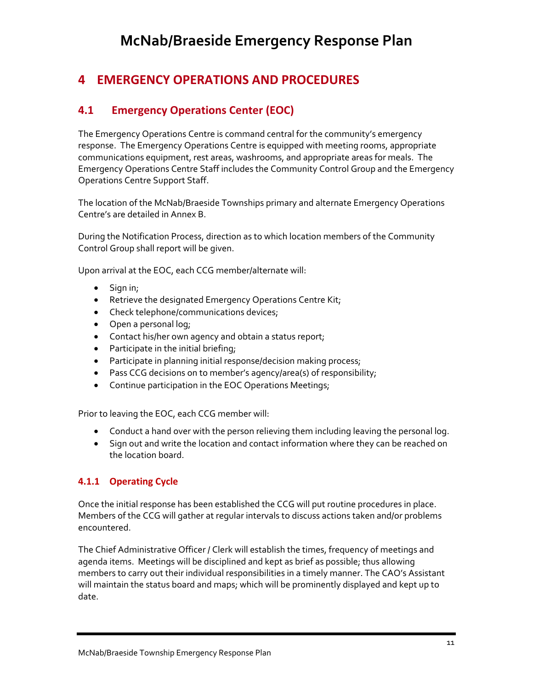### **4 EMERGENCY OPERATIONS AND PROCEDURES**

### **4.1 Emergency Operations Center (EOC)**

The Emergency Operations Centre is command central for the community's emergency response. The Emergency Operations Centre is equipped with meeting rooms, appropriate communications equipment, rest areas, washrooms, and appropriate areas for meals. The Emergency Operations Centre Staff includes the Community Control Group and the Emergency Operations Centre Support Staff.

The location of the McNab/Braeside Townships primary and alternate Emergency Operations Centre's are detailed in Annex B.

During the Notification Process, direction as to which location members of the Community Control Group shall report will be given.

Upon arrival at the EOC, each CCG member/alternate will:

- Sign in;
- Retrieve the designated Emergency Operations Centre Kit;
- Check telephone/communications devices;
- Open a personal log;
- Contact his/her own agency and obtain a status report;
- Participate in the initial briefing;
- Participate in planning initial response/decision making process;
- Pass CCG decisions on to member's agency/area(s) of responsibility;
- Continue participation in the EOC Operations Meetings;

Prior to leaving the EOC, each CCG member will:

- Conduct a hand over with the person relieving them including leaving the personal log.
- Sign out and write the location and contact information where they can be reached on the location board.

#### **4.1.1 Operating Cycle**

Once the initial response has been established the CCG will put routine procedures in place. Members of the CCG will gather at regular intervals to discuss actions taken and/or problems encountered.

The Chief Administrative Officer / Clerk will establish the times, frequency of meetings and agenda items. Meetings will be disciplined and kept as brief as possible; thus allowing members to carry out their individual responsibilities in a timely manner. The CAO's Assistant will maintain the status board and maps; which will be prominently displayed and kept up to date.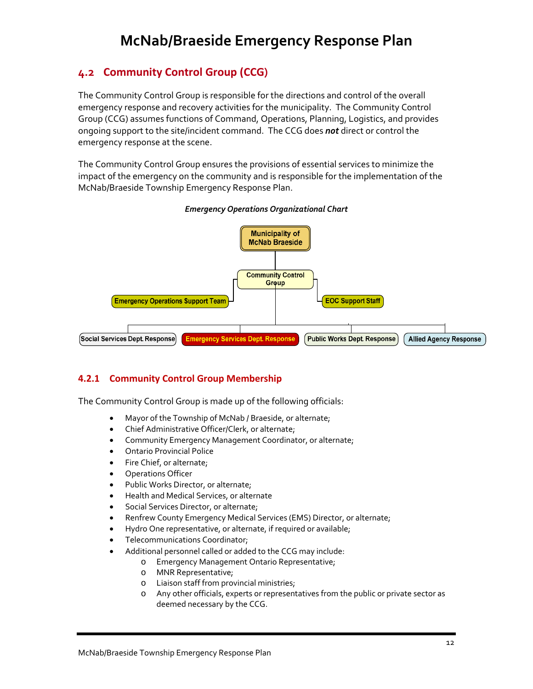### **4.2 Community Control Group (CCG)**

The Community Control Group is responsible for the directions and control of the overall emergency response and recovery activities for the municipality. The Community Control Group (CCG) assumes functions of Command, Operations, Planning, Logistics, and provides ongoing support to the site/incident command. The CCG does *not* direct or control the emergency response at the scene.

The Community Control Group ensures the provisions of essential services to minimize the impact of the emergency on the community and is responsible for the implementation of the McNab/Braeside Township Emergency Response Plan.



#### *Emergency Operations Organizational Chart*

#### **4.2.1 Community Control Group Membership**

The Community Control Group is made up of the following officials:

- Mayor of the Township of McNab / Braeside, or alternate;
- Chief Administrative Officer/Clerk, or alternate;
- Community Emergency Management Coordinator, or alternate;
- Ontario Provincial Police
- Fire Chief, or alternate;
- Operations Officer
- Public Works Director, or alternate;
- Health and Medical Services, or alternate
- Social Services Director, or alternate;
- Renfrew County Emergency Medical Services (EMS) Director, or alternate;
- Hydro One representative, or alternate, if required or available;
- Telecommunications Coordinator;
- Additional personnel called or added to the CCG may include:
	- o Emergency Management Ontario Representative;
	- o MNR Representative;
	- o Liaison staff from provincial ministries;
	- o Any other officials, experts or representatives from the public or private sector as deemed necessary by the CCG.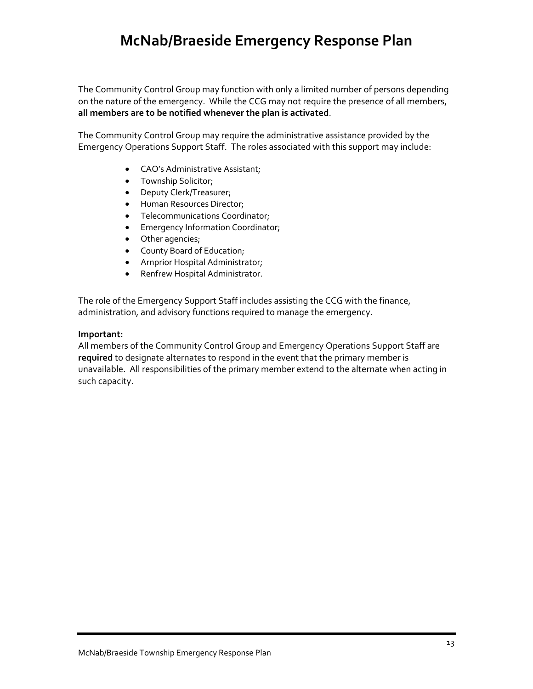The Community Control Group may function with only a limited number of persons depending on the nature of the emergency. While the CCG may not require the presence of all members, **all members are to be notified whenever the plan is activated**.

The Community Control Group may require the administrative assistance provided by the Emergency Operations Support Staff. The roles associated with this support may include:

- CAO's Administrative Assistant;
- Township Solicitor;
- Deputy Clerk/Treasurer;
- Human Resources Director;
- Telecommunications Coordinator;
- Emergency Information Coordinator;
- Other agencies;
- County Board of Education;
- Arnprior Hospital Administrator;
- Renfrew Hospital Administrator.

The role of the Emergency Support Staff includes assisting the CCG with the finance, administration, and advisory functions required to manage the emergency.

#### **Important:**

All members of the Community Control Group and Emergency Operations Support Staff are **required** to designate alternates to respond in the event that the primary member is unavailable. All responsibilities of the primary member extend to the alternate when acting in such capacity.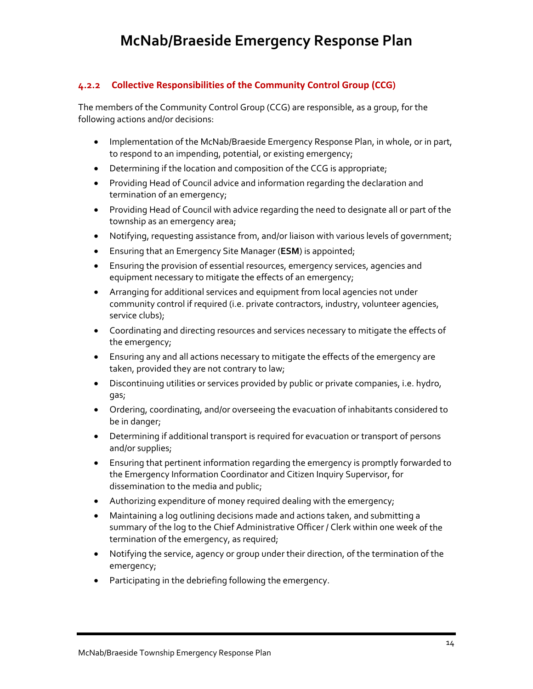#### **4.2.2 Collective Responsibilities of the Community Control Group (CCG)**

The members of the Community Control Group (CCG) are responsible, as a group, for the following actions and/or decisions:

- Implementation of the McNab/Braeside Emergency Response Plan, in whole, or in part, to respond to an impending, potential, or existing emergency;
- Determining if the location and composition of the CCG is appropriate;
- Providing Head of Council advice and information regarding the declaration and termination of an emergency;
- Providing Head of Council with advice regarding the need to designate all or part of the township as an emergency area;
- Notifying, requesting assistance from, and/or liaison with various levels of government;
- Ensuring that an Emergency Site Manager (**ESM**) is appointed;
- Ensuring the provision of essential resources, emergency services, agencies and equipment necessary to mitigate the effects of an emergency;
- Arranging for additional services and equipment from local agencies not under community control if required (i.e. private contractors, industry, volunteer agencies, service clubs);
- Coordinating and directing resources and services necessary to mitigate the effects of the emergency;
- Ensuring any and all actions necessary to mitigate the effects of the emergency are taken, provided they are not contrary to law;
- Discontinuing utilities or services provided by public or private companies, i.e. hydro, gas;
- Ordering, coordinating, and/or overseeing the evacuation of inhabitants considered to be in danger;
- Determining if additional transport is required for evacuation or transport of persons and/or supplies;
- Ensuring that pertinent information regarding the emergency is promptly forwarded to the Emergency Information Coordinator and Citizen Inquiry Supervisor, for dissemination to the media and public;
- Authorizing expenditure of money required dealing with the emergency;
- Maintaining a log outlining decisions made and actions taken, and submitting a summary of the log to the Chief Administrative Officer / Clerk within one week of the termination of the emergency, as required;
- Notifying the service, agency or group under their direction, of the termination of the emergency;
- Participating in the debriefing following the emergency.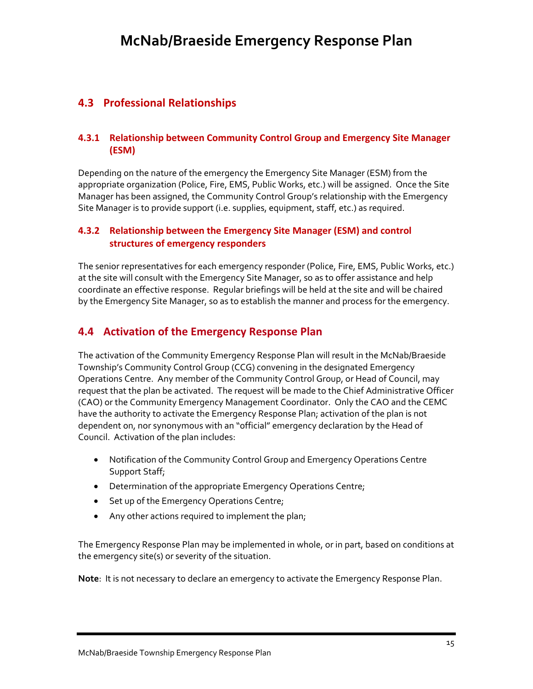### **4.3 Professional Relationships**

#### **4.3.1 Relationship between Community Control Group and Emergency Site Manager (ESM)**

Depending on the nature of the emergency the Emergency Site Manager (ESM) from the appropriate organization (Police, Fire, EMS, Public Works, etc.) will be assigned. Once the Site Manager has been assigned, the Community Control Group's relationship with the Emergency Site Manager is to provide support (i.e. supplies, equipment, staff, etc.) as required.

#### **4.3.2 Relationship between the Emergency Site Manager (ESM) and control structures of emergency responders**

The senior representatives for each emergency responder (Police, Fire, EMS, Public Works, etc.) at the site will consult with the Emergency Site Manager, so as to offer assistance and help coordinate an effective response. Regular briefings will be held at the site and will be chaired by the Emergency Site Manager, so as to establish the manner and process for the emergency.

### **4.4 Activation of the Emergency Response Plan**

The activation of the Community Emergency Response Plan will result in the McNab/Braeside Township's Community Control Group (CCG) convening in the designated Emergency Operations Centre. Any member of the Community Control Group, or Head of Council, may request that the plan be activated. The request will be made to the Chief Administrative Officer (CAO) or the Community Emergency Management Coordinator. Only the CAO and the CEMC have the authority to activate the Emergency Response Plan; activation of the plan is not dependent on, nor synonymous with an "official" emergency declaration by the Head of Council. Activation of the plan includes:

- Notification of the Community Control Group and Emergency Operations Centre Support Staff;
- Determination of the appropriate Emergency Operations Centre;
- Set up of the Emergency Operations Centre;
- Any other actions required to implement the plan;

The Emergency Response Plan may be implemented in whole, or in part, based on conditions at the emergency site(s) or severity of the situation.

**Note**: It is not necessary to declare an emergency to activate the Emergency Response Plan.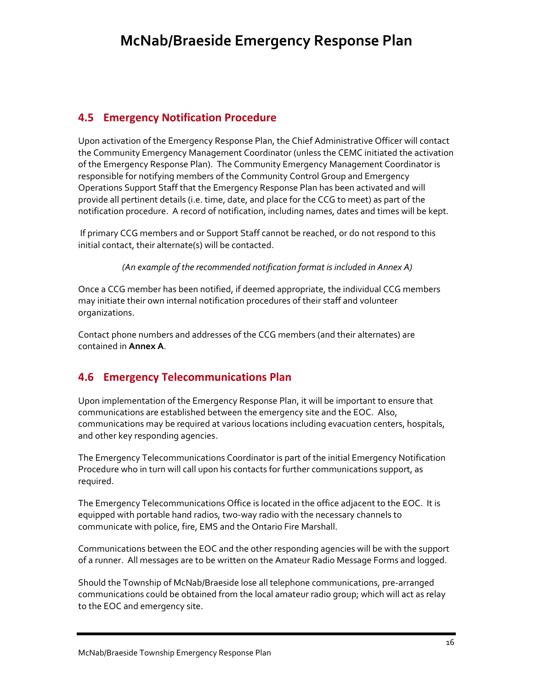### **4.5 Emergency Notification Procedure**

Upon activation of the Emergency Response Plan, the Chief Administrative Officer will contact the Community Emergency Management Coordinator (unless the CEMC initiated the activation of the Emergency Response Plan). The Community Emergency Management Coordinator is responsible for notifying members of the Community Control Group and Emergency Operations Support Staff that the Emergency Response Plan has been activated and will provide all pertinent details (i.e. time, date, and place for the CCG to meet) as part of the notification procedure. A record of notification, including names, dates and times will be kept.

If primary CCG members and or Support Staff cannot be reached, or do not respond to this initial contact, their alternate(s) will be contacted.

*(An example of the recommended notification format is included in Annex A)*

Once a CCG member has been notified, if deemed appropriate, the individual CCG members may initiate their own internal notification procedures of their staff and volunteer organizations.

Contact phone numbers and addresses of the CCG members (and their alternates) are contained in **Annex A**.

### **4.6 Emergency Telecommunications Plan**

Upon implementation of the Emergency Response Plan, it will be important to ensure that communications are established between the emergency site and the EOC. Also, communications may be required at various locations including evacuation centers, hospitals, and other key responding agencies.

The Emergency Telecommunications Coordinator is part of the initial Emergency Notification Procedure who in turn will call upon his contacts for further communications support, as required.

The Emergency Telecommunications Office is located in the office adjacent to the EOC. It is equipped with portable hand radios, two-way radio with the necessary channels to communicate with police, fire, EMS and the Ontario Fire Marshall.

Communications between the EOC and the other responding agencies will be with the support of a runner. All messages are to be written on the Amateur Radio Message Forms and logged.

Should the Township of McNab/Braeside lose all telephone communications, pre‐arranged communications could be obtained from the local amateur radio group; which will act as relay to the EOC and emergency site.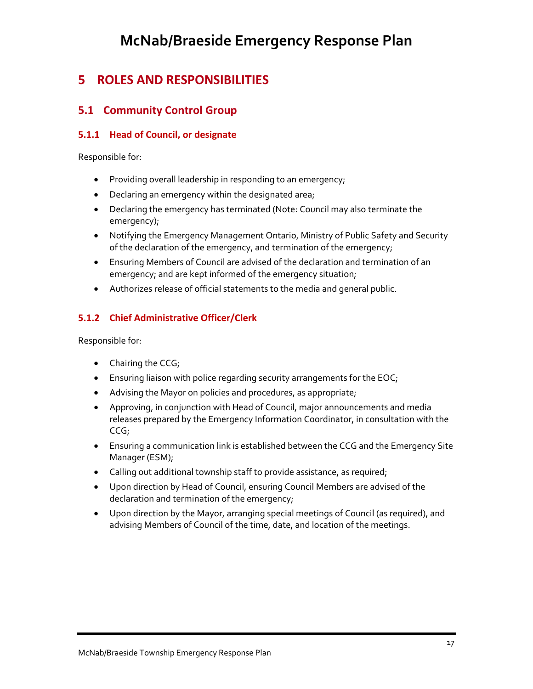### **5 ROLES AND RESPONSIBILITIES**

### **5.1 Community Control Group**

#### **5.1.1 Head of Council, or designate**

Responsible for:

- Providing overall leadership in responding to an emergency;
- Declaring an emergency within the designated area;
- Declaring the emergency has terminated (Note: Council may also terminate the emergency);
- Notifying the Emergency Management Ontario, Ministry of Public Safety and Security of the declaration of the emergency, and termination of the emergency;
- Ensuring Members of Council are advised of the declaration and termination of an emergency; and are kept informed of the emergency situation;
- Authorizes release of official statements to the media and general public.

### **5.1.2 Chief Administrative Officer/Clerk**

- Chairing the CCG;
- Ensuring liaison with police regarding security arrangements for the EOC;
- Advising the Mayor on policies and procedures, as appropriate;
- Approving, in conjunction with Head of Council, major announcements and media releases prepared by the Emergency Information Coordinator, in consultation with the CCG;
- Ensuring a communication link is established between the CCG and the Emergency Site Manager (ESM);
- Calling out additional township staff to provide assistance, as required;
- Upon direction by Head of Council, ensuring Council Members are advised of the declaration and termination of the emergency;
- Upon direction by the Mayor, arranging special meetings of Council (as required), and advising Members of Council of the time, date, and location of the meetings.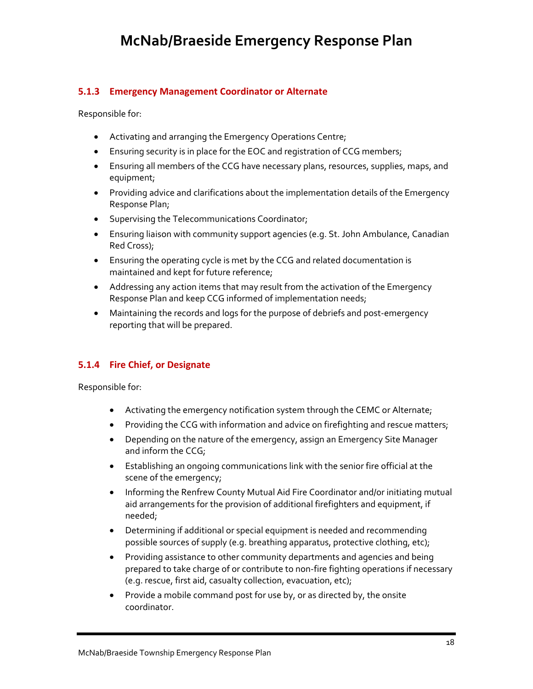#### **5.1.3 Emergency Management Coordinator or Alternate**

Responsible for:

- Activating and arranging the Emergency Operations Centre;
- Ensuring security is in place for the EOC and registration of CCG members;
- Ensuring all members of the CCG have necessary plans, resources, supplies, maps, and equipment;
- Providing advice and clarifications about the implementation details of the Emergency Response Plan;
- Supervising the Telecommunications Coordinator;
- Ensuring liaison with community support agencies (e.g. St. John Ambulance, Canadian Red Cross);
- Ensuring the operating cycle is met by the CCG and related documentation is maintained and kept for future reference;
- Addressing any action items that may result from the activation of the Emergency Response Plan and keep CCG informed of implementation needs;
- Maintaining the records and logs for the purpose of debriefs and post-emergency reporting that will be prepared.

#### **5.1.4 Fire Chief, or Designate**

- Activating the emergency notification system through the CEMC or Alternate;
- Providing the CCG with information and advice on firefighting and rescue matters;
- Depending on the nature of the emergency, assign an Emergency Site Manager and inform the CCG;
- Establishing an ongoing communications link with the senior fire official at the scene of the emergency;
- Informing the Renfrew County Mutual Aid Fire Coordinator and/or initiating mutual aid arrangements for the provision of additional firefighters and equipment, if needed;
- Determining if additional or special equipment is needed and recommending possible sources of supply (e.g. breathing apparatus, protective clothing, etc);
- Providing assistance to other community departments and agencies and being prepared to take charge of or contribute to non‐fire fighting operations if necessary (e.g. rescue, first aid, casualty collection, evacuation, etc);
- Provide a mobile command post for use by, or as directed by, the onsite coordinator.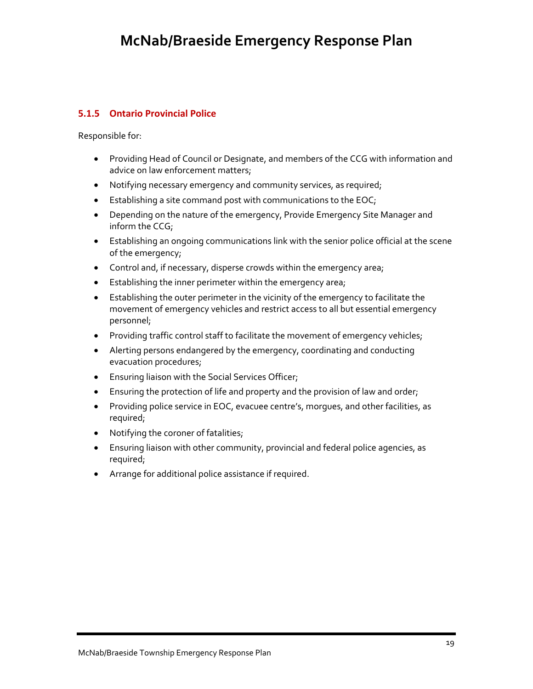#### **5.1.5 Ontario Provincial Police**

- Providing Head of Council or Designate, and members of the CCG with information and advice on law enforcement matters;
- Notifying necessary emergency and community services, as required;
- Establishing a site command post with communications to the EOC;
- Depending on the nature of the emergency, Provide Emergency Site Manager and inform the CCG;
- Establishing an ongoing communications link with the senior police official at the scene of the emergency;
- Control and, if necessary, disperse crowds within the emergency area;
- Establishing the inner perimeter within the emergency area;
- Establishing the outer perimeter in the vicinity of the emergency to facilitate the movement of emergency vehicles and restrict access to all but essential emergency personnel;
- Providing traffic control staff to facilitate the movement of emergency vehicles;
- Alerting persons endangered by the emergency, coordinating and conducting evacuation procedures;
- Ensuring liaison with the Social Services Officer;
- Ensuring the protection of life and property and the provision of law and order;
- Providing police service in EOC, evacuee centre's, morgues, and other facilities, as required;
- Notifying the coroner of fatalities;
- Ensuring liaison with other community, provincial and federal police agencies, as required;
- Arrange for additional police assistance if required.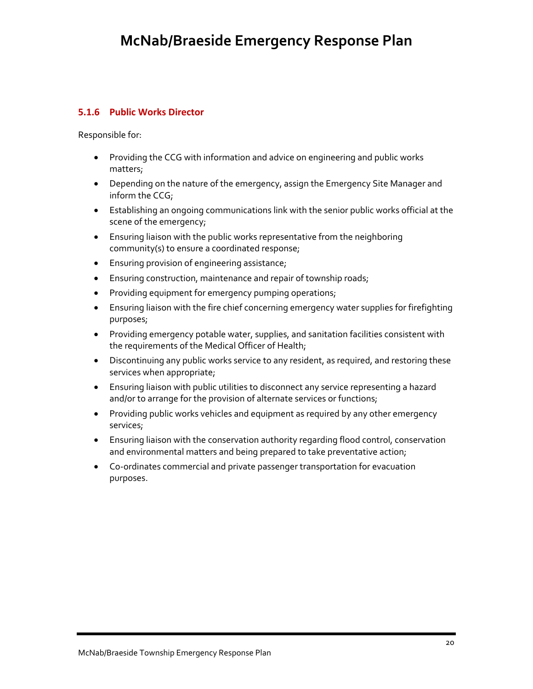#### **5.1.6 Public Works Director**

- Providing the CCG with information and advice on engineering and public works matters;
- Depending on the nature of the emergency, assign the Emergency Site Manager and inform the CCG;
- Establishing an ongoing communications link with the senior public works official at the scene of the emergency;
- Ensuring liaison with the public works representative from the neighboring community(s) to ensure a coordinated response;
- Ensuring provision of engineering assistance;
- Ensuring construction, maintenance and repair of township roads;
- Providing equipment for emergency pumping operations;
- Ensuring liaison with the fire chief concerning emergency water supplies for firefighting purposes;
- Providing emergency potable water, supplies, and sanitation facilities consistent with the requirements of the Medical Officer of Health;
- Discontinuing any public works service to any resident, as required, and restoring these services when appropriate;
- Ensuring liaison with public utilities to disconnect any service representing a hazard and/or to arrange for the provision of alternate services or functions;
- Providing public works vehicles and equipment as required by any other emergency services;
- Ensuring liaison with the conservation authority regarding flood control, conservation and environmental matters and being prepared to take preventative action;
- Co-ordinates commercial and private passenger transportation for evacuation purposes.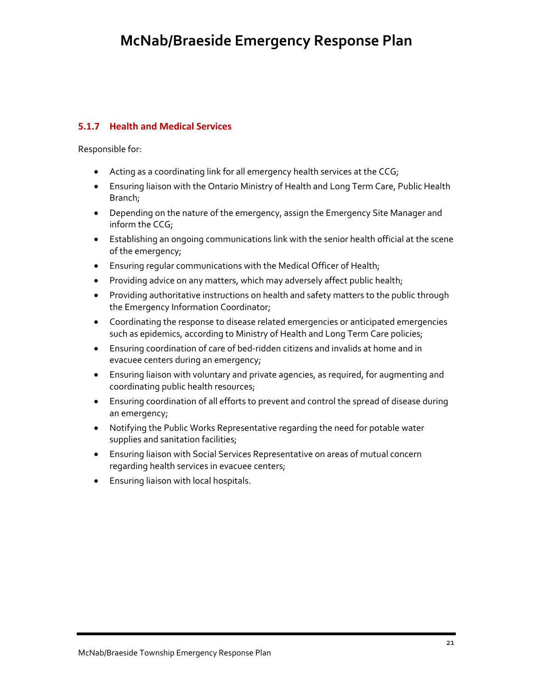### **5.1.7 Health and Medical Services**

- Acting as a coordinating link for all emergency health services at the CCG;
- Ensuring liaison with the Ontario Ministry of Health and Long Term Care, Public Health Branch;
- Depending on the nature of the emergency, assign the Emergency Site Manager and inform the CCG;
- Establishing an ongoing communications link with the senior health official at the scene of the emergency;
- Ensuring regular communications with the Medical Officer of Health;
- Providing advice on any matters, which may adversely affect public health;
- Providing authoritative instructions on health and safety matters to the public through the Emergency Information Coordinator;
- Coordinating the response to disease related emergencies or anticipated emergencies such as epidemics, according to Ministry of Health and Long Term Care policies;
- Ensuring coordination of care of bed‐ridden citizens and invalids at home and in evacuee centers during an emergency;
- Ensuring liaison with voluntary and private agencies, as required, for augmenting and coordinating public health resources;
- Ensuring coordination of all efforts to prevent and control the spread of disease during an emergency;
- Notifying the Public Works Representative regarding the need for potable water supplies and sanitation facilities;
- Ensuring liaison with Social Services Representative on areas of mutual concern regarding health services in evacuee centers;
- Ensuring liaison with local hospitals.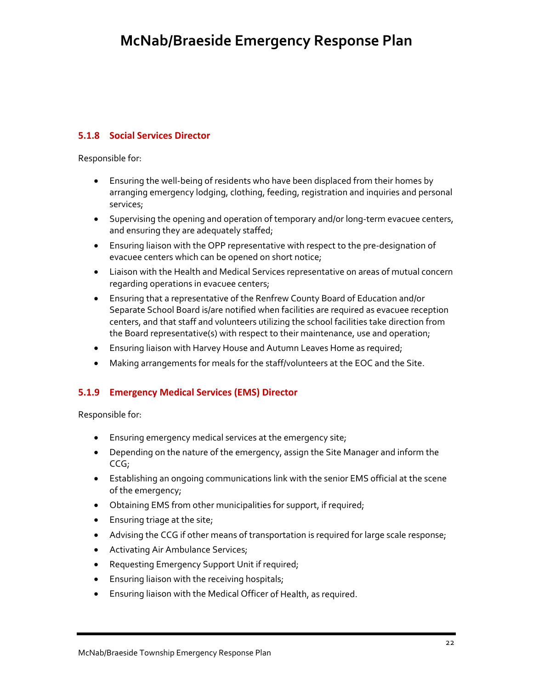#### **5.1.8 Social Services Director**

Responsible for:

- Ensuring the well-being of residents who have been displaced from their homes by arranging emergency lodging, clothing, feeding, registration and inquiries and personal services;
- Supervising the opening and operation of temporary and/or long‐term evacuee centers, and ensuring they are adequately staffed;
- Ensuring liaison with the OPP representative with respect to the pre‐designation of evacuee centers which can be opened on short notice;
- Liaison with the Health and Medical Services representative on areas of mutual concern regarding operations in evacuee centers;
- Ensuring that a representative of the Renfrew County Board of Education and/or Separate School Board is/are notified when facilities are required as evacuee reception centers, and that staff and volunteers utilizing the school facilities take direction from the Board representative(s) with respect to their maintenance, use and operation;
- Ensuring liaison with Harvey House and Autumn Leaves Home as required;
- Making arrangements for meals for the staff/volunteers at the EOC and the Site.

#### **5.1.9 Emergency Medical Services (EMS) Director**

- Ensuring emergency medical services at the emergency site;
- Depending on the nature of the emergency, assign the Site Manager and inform the CCG;
- Establishing an ongoing communications link with the senior EMS official at the scene of the emergency;
- Obtaining EMS from other municipalities for support, if required;
- Ensuring triage at the site;
- Advising the CCG if other means of transportation is required for large scale response;
- Activating Air Ambulance Services;
- Requesting Emergency Support Unit if required;
- Ensuring liaison with the receiving hospitals;
- Ensuring liaison with the Medical Officer of Health, as required.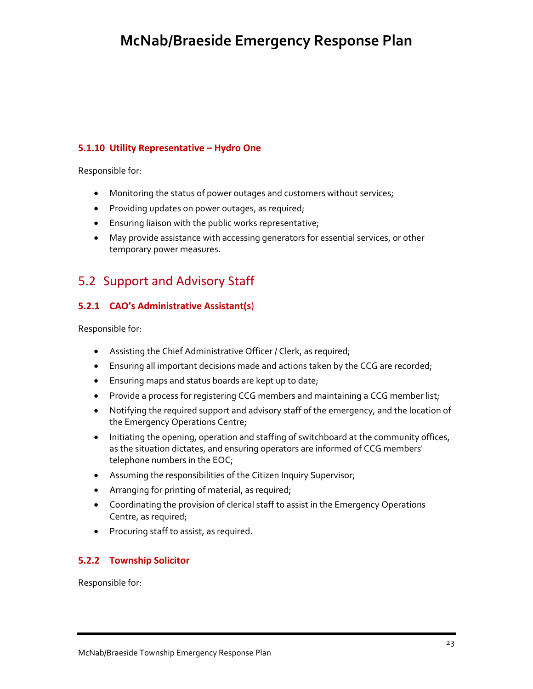#### **5.1.10 Utility Representative – Hydro One**

Responsible for:

- Monitoring the status of power outages and customers without services;
- Providing updates on power outages, as required;
- Ensuring liaison with the public works representative;
- May provide assistance with accessing generators for essential services, or other temporary power measures.

### 5.2 Support and Advisory Staff

### **5.2.1 CAO's Administrative Assistant(s**)

Responsible for:

- Assisting the Chief Administrative Officer / Clerk, as required;
- Ensuring all important decisions made and actions taken by the CCG are recorded;
- Ensuring maps and status boards are kept up to date;
- Provide a process for registering CCG members and maintaining a CCG member list;
- Notifying the required support and advisory staff of the emergency, and the location of the Emergency Operations Centre;
- Initiating the opening, operation and staffing of switchboard at the community offices, as the situation dictates, and ensuring operators are informed of CCG members' telephone numbers in the EOC;
- Assuming the responsibilities of the Citizen Inquiry Supervisor;
- Arranging for printing of material, as required;
- Coordinating the provision of clerical staff to assist in the Emergency Operations Centre, as required;
- Procuring staff to assist, as required.

#### **5.2.2 Township Solicitor**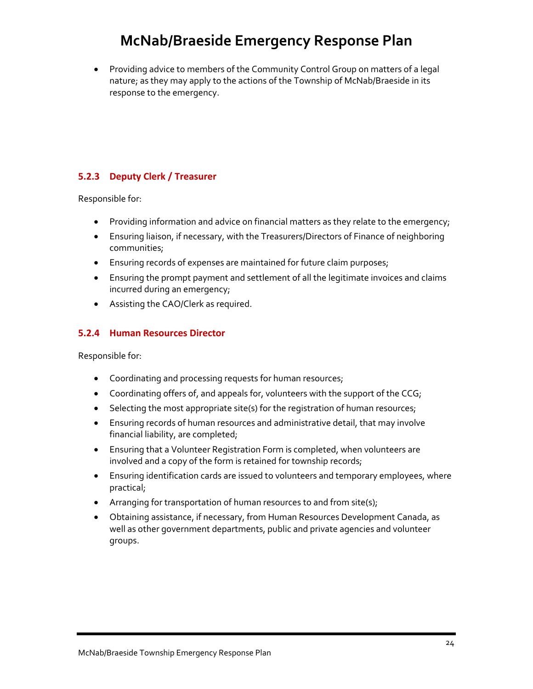• Providing advice to members of the Community Control Group on matters of a legal nature; as they may apply to the actions of the Township of McNab/Braeside in its response to the emergency.

#### **5.2.3 Deputy Clerk / Treasurer**

Responsible for:

- Providing information and advice on financial matters as they relate to the emergency;
- Ensuring liaison, if necessary, with the Treasurers/Directors of Finance of neighboring communities;
- Ensuring records of expenses are maintained for future claim purposes;
- Ensuring the prompt payment and settlement of all the legitimate invoices and claims incurred during an emergency;
- Assisting the CAO/Clerk as required.

#### **5.2.4 Human Resources Director**

- Coordinating and processing requests for human resources;
- Coordinating offers of, and appeals for, volunteers with the support of the CCG;
- Selecting the most appropriate site(s) for the registration of human resources;
- Ensuring records of human resources and administrative detail, that may involve financial liability, are completed;
- Ensuring that a Volunteer Registration Form is completed, when volunteers are involved and a copy of the form is retained for township records;
- Ensuring identification cards are issued to volunteers and temporary employees, where practical;
- Arranging for transportation of human resources to and from site(s);
- Obtaining assistance, if necessary, from Human Resources Development Canada, as well as other government departments, public and private agencies and volunteer groups.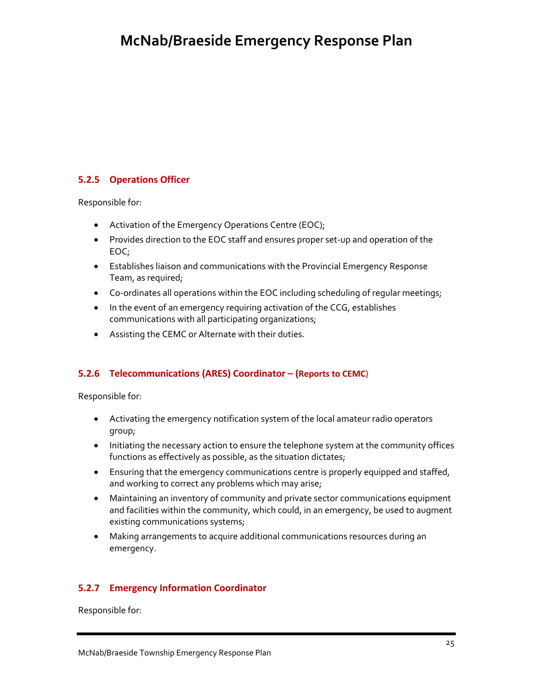### **5.2.5 Operations Officer**

Responsible for:

- Activation of the Emergency Operations Centre (EOC);
- Provides direction to the EOC staff and ensures proper set‐up and operation of the EOC;
- Establishes liaison and communications with the Provincial Emergency Response Team, as required;
- Co-ordinates all operations within the EOC including scheduling of regular meetings;
- In the event of an emergency requiring activation of the CCG, establishes communications with all participating organizations;
- Assisting the CEMC or Alternate with their duties.

#### **5.2.6 Telecommunications (ARES) Coordinator – (Reports to CEMC**)

Responsible for:

- Activating the emergency notification system of the local amateur radio operators group;
- Initiating the necessary action to ensure the telephone system at the community offices functions as effectively as possible, as the situation dictates;
- Ensuring that the emergency communications centre is properly equipped and staffed, and working to correct any problems which may arise;
- Maintaining an inventory of community and private sector communications equipment and facilities within the community, which could, in an emergency, be used to augment existing communications systems;
- Making arrangements to acquire additional communications resources during an emergency.

#### **5.2.7 Emergency Information Coordinator**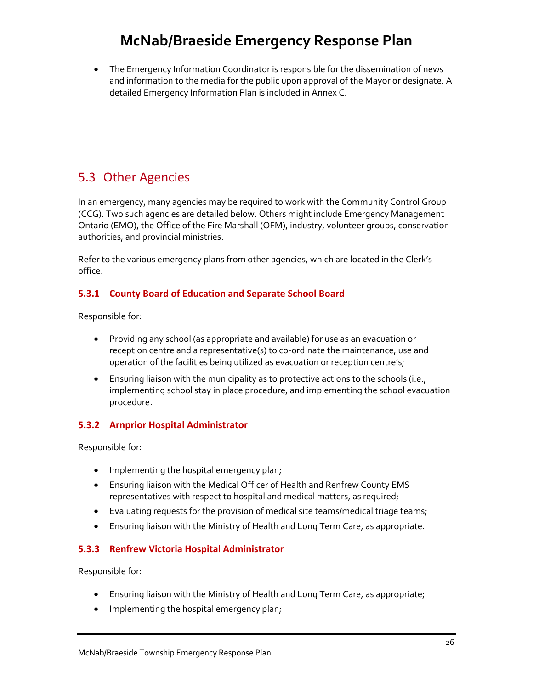• The Emergency Information Coordinator is responsible for the dissemination of news and information to the media for the public upon approval of the Mayor or designate. A detailed Emergency Information Plan is included in Annex C.

### 5.3 Other Agencies

In an emergency, many agencies may be required to work with the Community Control Group (CCG). Two such agencies are detailed below. Others might include Emergency Management Ontario (EMO), the Office of the Fire Marshall (OFM), industry, volunteer groups, conservation authorities, and provincial ministries.

Refer to the various emergency plans from other agencies, which are located in the Clerk's office.

#### **5.3.1 County Board of Education and Separate School Board**

Responsible for:

- Providing any school (as appropriate and available) for use as an evacuation or reception centre and a representative(s) to co-ordinate the maintenance, use and operation of the facilities being utilized as evacuation or reception centre's;
- Ensuring liaison with the municipality as to protective actions to the schools (i.e., implementing school stay in place procedure, and implementing the school evacuation procedure.

#### **5.3.2 Arnprior Hospital Administrator**

Responsible for:

- Implementing the hospital emergency plan;
- Ensuring liaison with the Medical Officer of Health and Renfrew County EMS representatives with respect to hospital and medical matters, as required;
- Evaluating requests for the provision of medical site teams/medical triage teams;
- Ensuring liaison with the Ministry of Health and Long Term Care, as appropriate.

#### **5.3.3 Renfrew Victoria Hospital Administrator**

- Ensuring liaison with the Ministry of Health and Long Term Care, as appropriate;
- Implementing the hospital emergency plan;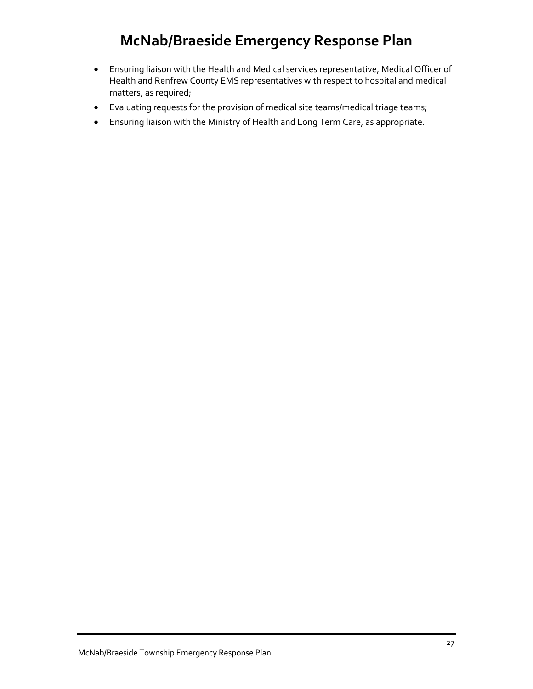- Ensuring liaison with the Health and Medical services representative, Medical Officer of Health and Renfrew County EMS representatives with respect to hospital and medical matters, as required;
- Evaluating requests for the provision of medical site teams/medical triage teams;
- Ensuring liaison with the Ministry of Health and Long Term Care, as appropriate.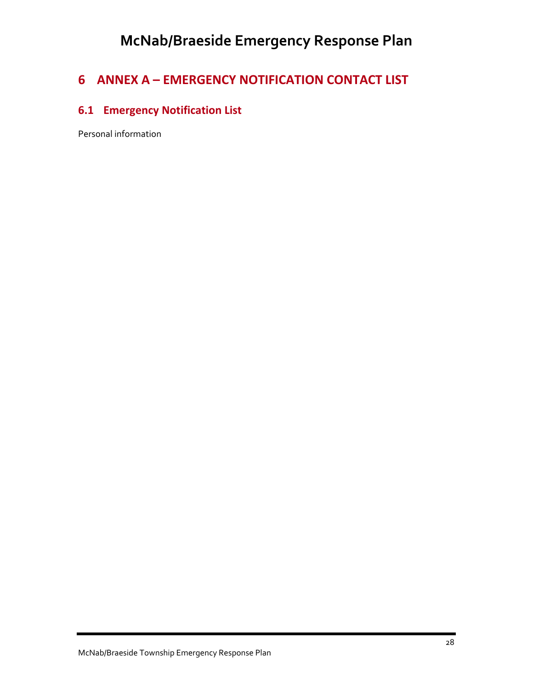### **6 ANNEX A – EMERGENCY NOTIFICATION CONTACT LIST**

### **6.1 Emergency Notification List**

Personal information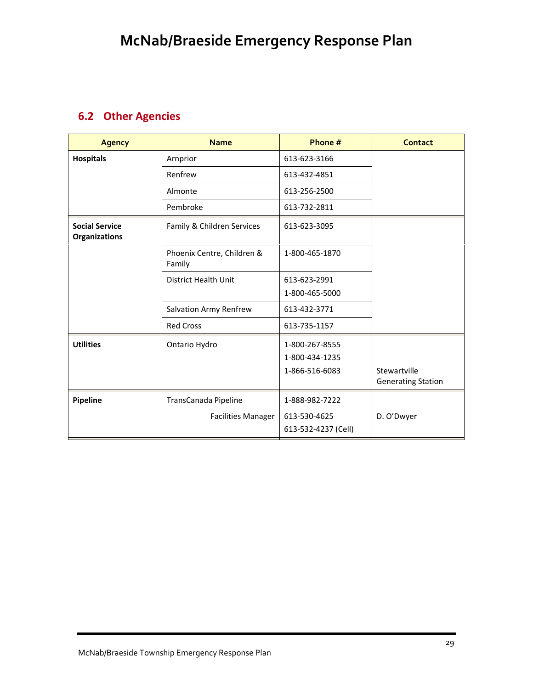### **6.2 Other Agencies**

| <b>Agency</b>                                 | <b>Name</b>                          | Phone #             | <b>Contact</b>            |
|-----------------------------------------------|--------------------------------------|---------------------|---------------------------|
| <b>Hospitals</b>                              | Arnprior                             | 613-623-3166        |                           |
|                                               | Renfrew                              | 613-432-4851        |                           |
|                                               | Almonte                              | 613-256-2500        |                           |
|                                               | Pembroke                             | 613-732-2811        |                           |
| <b>Social Service</b><br><b>Organizations</b> | Family & Children Services           | 613-623-3095        |                           |
|                                               | Phoenix Centre, Children &<br>Family | 1-800-465-1870      |                           |
|                                               | District Health Unit                 | 613-623-2991        |                           |
|                                               |                                      | 1-800-465-5000      |                           |
|                                               | Salvation Army Renfrew               | 613-432-3771        |                           |
|                                               | <b>Red Cross</b>                     | 613-735-1157        |                           |
| <b>Utilities</b>                              | Ontario Hydro                        | 1-800-267-8555      |                           |
|                                               |                                      | 1-800-434-1235      |                           |
|                                               |                                      | 1-866-516-6083      | Stewartville              |
|                                               |                                      |                     | <b>Generating Station</b> |
| Pipeline                                      | TransCanada Pipeline                 | 1-888-982-7222      |                           |
|                                               | <b>Facilities Manager</b>            | 613-530-4625        | D. O'Dwyer                |
|                                               |                                      | 613-532-4237 (Cell) |                           |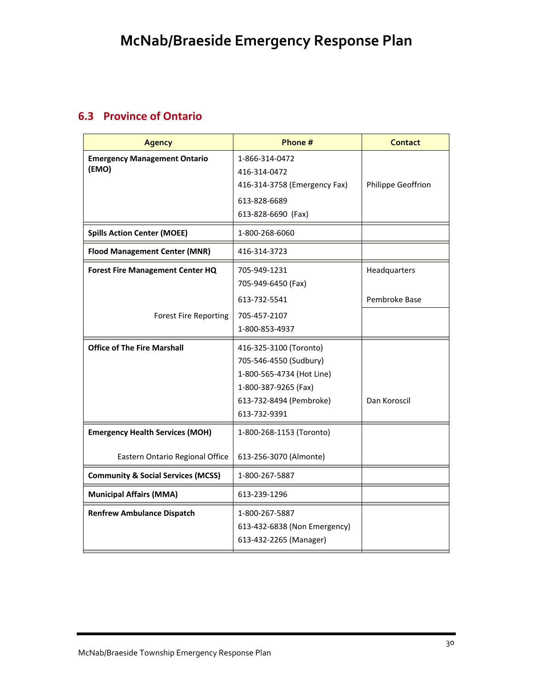### **6.3 Province of Ontario**

| <b>Agency</b>                                 | Phone #                      | Contact            |
|-----------------------------------------------|------------------------------|--------------------|
| <b>Emergency Management Ontario</b>           | 1-866-314-0472               |                    |
| (EMO)                                         | 416-314-0472                 |                    |
|                                               | 416-314-3758 (Emergency Fax) | Philippe Geoffrion |
|                                               | 613-828-6689                 |                    |
|                                               | 613-828-6690 (Fax)           |                    |
| <b>Spills Action Center (MOEE)</b>            | 1-800-268-6060               |                    |
| <b>Flood Management Center (MNR)</b>          | 416-314-3723                 |                    |
| <b>Forest Fire Management Center HQ</b>       | 705-949-1231                 | Headquarters       |
|                                               | 705-949-6450 (Fax)           |                    |
|                                               | 613-732-5541                 | Pembroke Base      |
| <b>Forest Fire Reporting</b>                  | 705-457-2107                 |                    |
|                                               | 1-800-853-4937               |                    |
| <b>Office of The Fire Marshall</b>            | 416-325-3100 (Toronto)       |                    |
|                                               | 705-546-4550 (Sudbury)       |                    |
|                                               | 1-800-565-4734 (Hot Line)    |                    |
|                                               | 1-800-387-9265 (Fax)         |                    |
|                                               | 613-732-8494 (Pembroke)      | Dan Koroscil       |
|                                               | 613-732-9391                 |                    |
| <b>Emergency Health Services (MOH)</b>        | 1-800-268-1153 (Toronto)     |                    |
| Eastern Ontario Regional Office               | 613-256-3070 (Almonte)       |                    |
| <b>Community &amp; Social Services (MCSS)</b> | 1-800-267-5887               |                    |
| <b>Municipal Affairs (MMA)</b>                | 613-239-1296                 |                    |
| <b>Renfrew Ambulance Dispatch</b>             | 1-800-267-5887               |                    |
|                                               | 613-432-6838 (Non Emergency) |                    |
|                                               | 613-432-2265 (Manager)       |                    |
|                                               |                              |                    |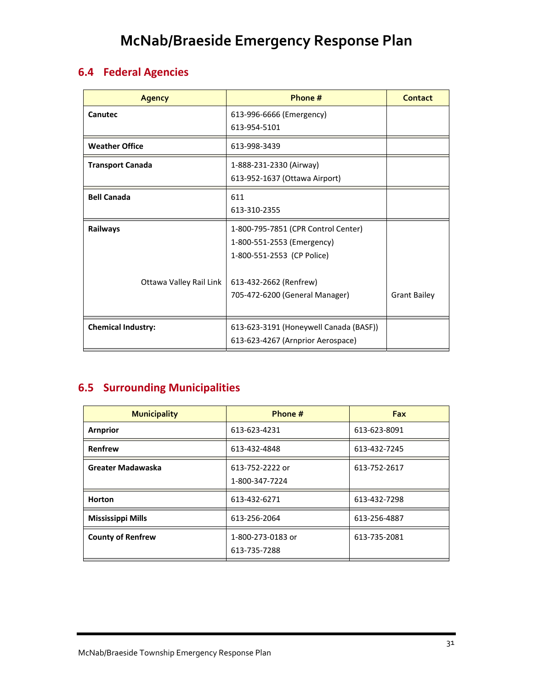### **6.4 Federal Agencies**

| <b>Agency</b>             | Phone #                                | Contact             |
|---------------------------|----------------------------------------|---------------------|
| Canutec                   | 613-996-6666 (Emergency)               |                     |
|                           | 613-954-5101                           |                     |
| <b>Weather Office</b>     | 613-998-3439                           |                     |
| <b>Transport Canada</b>   | 1-888-231-2330 (Airway)                |                     |
|                           | 613-952-1637 (Ottawa Airport)          |                     |
| <b>Bell Canada</b>        | 611                                    |                     |
|                           | 613-310-2355                           |                     |
| Railways                  | 1-800-795-7851 (CPR Control Center)    |                     |
|                           | 1-800-551-2553 (Emergency)             |                     |
|                           | 1-800-551-2553 (CP Police)             |                     |
|                           |                                        |                     |
| Ottawa Valley Rail Link   | 613-432-2662 (Renfrew)                 |                     |
|                           | 705-472-6200 (General Manager)         | <b>Grant Bailey</b> |
|                           |                                        |                     |
| <b>Chemical Industry:</b> | 613-623-3191 (Honeywell Canada (BASF)) |                     |
|                           | 613-623-4267 (Arnprior Aerospace)      |                     |

### **6.5 Surrounding Municipalities**

| <b>Municipality</b>      | Phone #                           | <b>Fax</b>   |
|--------------------------|-----------------------------------|--------------|
| <b>Arnprior</b>          | 613-623-4231                      | 613-623-8091 |
| Renfrew                  | 613-432-4848                      | 613-432-7245 |
| Greater Madawaska        | 613-752-2222 or<br>1-800-347-7224 | 613-752-2617 |
| <b>Horton</b>            | 613-432-6271                      | 613-432-7298 |
| <b>Mississippi Mills</b> | 613-256-2064                      | 613-256-4887 |
| <b>County of Renfrew</b> | 1-800-273-0183 or<br>613-735-7288 | 613-735-2081 |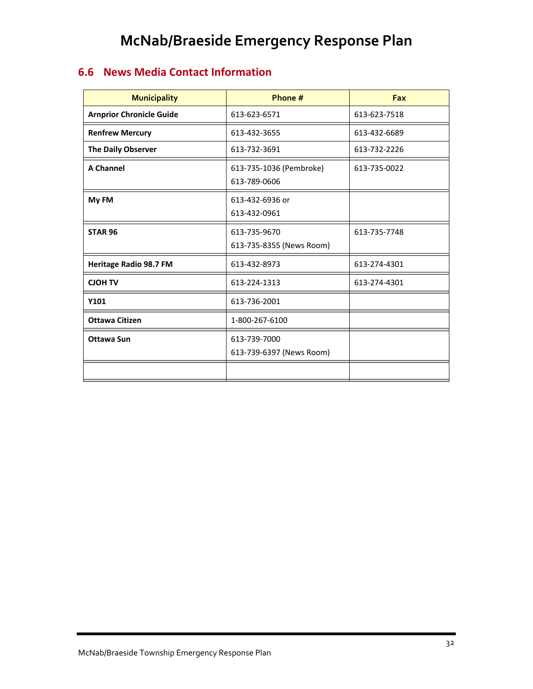### **6.6 News Media Contact Information**

| <b>Municipality</b>             | Phone #                                  | Fax          |
|---------------------------------|------------------------------------------|--------------|
| <b>Arnprior Chronicle Guide</b> | 613-623-6571                             | 613-623-7518 |
| <b>Renfrew Mercury</b>          | 613-432-3655                             | 613-432-6689 |
| The Daily Observer              | 613-732-3691                             | 613-732-2226 |
| <b>A Channel</b>                | 613-735-1036 (Pembroke)<br>613-789-0606  | 613-735-0022 |
| My FM                           | 613-432-6936 or<br>613-432-0961          |              |
| <b>STAR 96</b>                  | 613-735-9670<br>613-735-8355 (News Room) | 613-735-7748 |
| <b>Heritage Radio 98.7 FM</b>   | 613-432-8973                             | 613-274-4301 |
| <b>CJOH TV</b>                  | 613-224-1313                             | 613-274-4301 |
| Y101                            | 613-736-2001                             |              |
| <b>Ottawa Citizen</b>           | 1-800-267-6100                           |              |
| <b>Ottawa Sun</b>               | 613-739-7000<br>613-739-6397 (News Room) |              |
|                                 |                                          |              |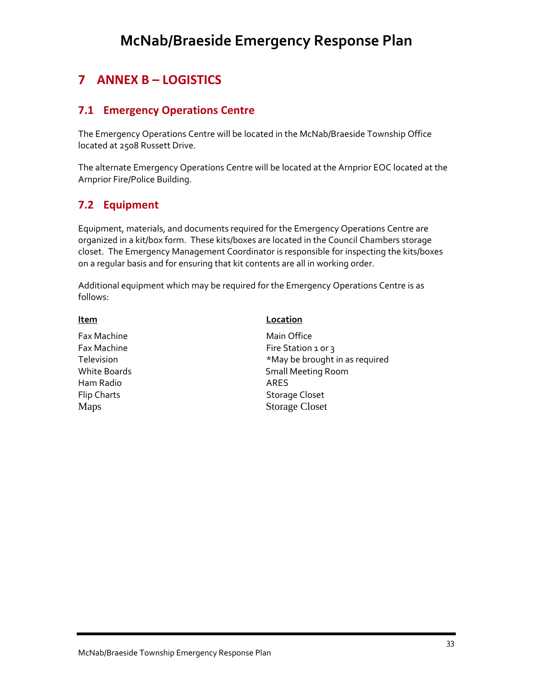### **7 ANNEX B – LOGISTICS**

### **7.1 Emergency Operations Centre**

The Emergency Operations Centre will be located in the McNab/Braeside Township Office located at 2508 Russett Drive.

The alternate Emergency Operations Centre will be located at the Arnprior EOC located at the Arnprior Fire/Police Building.

### **7.2 Equipment**

Equipment, materials, and documents required for the Emergency Operations Centre are organized in a kit/box form. These kits/boxes are located in the Council Chambers storage closet. The Emergency Management Coordinator is responsible for inspecting the kits/boxes on a regular basis and for ensuring that kit contents are all in working order.

Additional equipment which may be required for the Emergency Operations Centre is as follows:

#### **Item Location**

Fax Machine **The Contract of Tanachine Main Office** Fax Machine **Fax Machine** *Fire Station 1 or 3* Television **Television** *Television*  **1** White Boards **Matube 20 Small Meeting Room** Ham Radio ARES Flip Charts **Contract Contract Contract Contract Contract Contract Contract Contract Contract Contract Contract Contract Contract Contract Contract Contract Contract Contract Contract Contract Contract Contract Contract Co** Maps Storage Closet